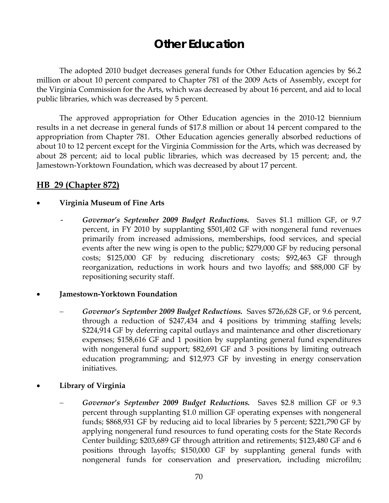# **Other Education**

The adopted 2010 budget decreases general funds for Other Education agencies by \$6.2 million or about 10 percent compared to Chapter 781 of the 2009 Acts of Assembly, except for the Virginia Commission for the Arts, which was decreased by about 16 percent, and aid to local public libraries, which was decreased by 5 percent.

The approved appropriation for Other Education agencies in the 2010-12 biennium results in a net decrease in general funds of \$17.8 million or about 14 percent compared to the appropriation from Chapter 781. Other Education agencies generally absorbed reductions of about 10 to 12 percent except for the Virginia Commission for the Arts, which was decreased by about 28 percent; aid to local public libraries, which was decreased by 15 percent; and, the Jamestown-Yorktown Foundation, which was decreased by about 17 percent.

## **HB 29 (Chapter 872)**

#### • **Virginia Museum of Fine Arts**

- *Governor's September 2009 Budget Reductions.* Saves \$1.1 million GF, or 9.7 percent, in FY 2010 by supplanting \$501,402 GF with nongeneral fund revenues primarily from increased admissions, memberships, food services, and special events after the new wing is open to the public; \$279,000 GF by reducing personal costs; \$125,000 GF by reducing discretionary costs; \$92,463 GF through reorganization, reductions in work hours and two layoffs; and \$88,000 GF by repositioning security staff.

#### • **Jamestown-Yorktown Foundation**

- *Governor's September 2009 Budget Reductions.* Saves \$726,628 GF, or 9.6 percent, through a reduction of \$247,434 and 4 positions by trimming staffing levels; \$224,914 GF by deferring capital outlays and maintenance and other discretionary expenses; \$158,616 GF and 1 position by supplanting general fund expenditures with nongeneral fund support; \$82,691 GF and 3 positions by limiting outreach education programming; and \$12,973 GF by investing in energy conservation initiatives.
- **Library of Virginia** 
	- *Governor's September 2009 Budget Reductions.* Saves \$2.8 million GF or 9.3 percent through supplanting \$1.0 million GF operating expenses with nongeneral funds; \$868,931 GF by reducing aid to local libraries by 5 percent; \$221,790 GF by applying nongeneral fund resources to fund operating costs for the State Records Center building; \$203,689 GF through attrition and retirements; \$123,480 GF and 6 positions through layoffs; \$150,000 GF by supplanting general funds with nongeneral funds for conservation and preservation, including microfilm;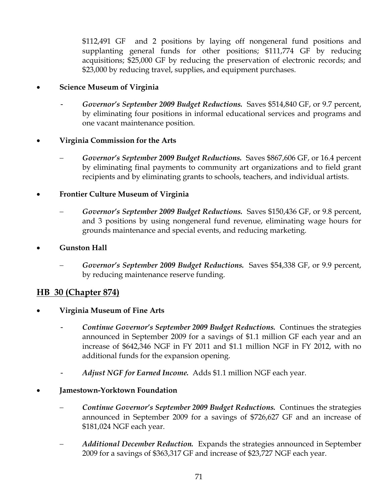\$112,491 GF and 2 positions by laying off nongeneral fund positions and supplanting general funds for other positions; \$111,774 GF by reducing acquisitions; \$25,000 GF by reducing the preservation of electronic records; and \$23,000 by reducing travel, supplies, and equipment purchases.

### • **Science Museum of Virginia**

- *Governor's September 2009 Budget Reductions.* Saves \$514,840 GF, or 9.7 percent, by eliminating four positions in informal educational services and programs and one vacant maintenance position.

#### • **Virginia Commission for the Arts**

− *Governor's September 2009 Budget Reductions.* Saves \$867,606 GF, or 16.4 percent by eliminating final payments to community art organizations and to field grant recipients and by eliminating grants to schools, teachers, and individual artists.

## • **Frontier Culture Museum of Virginia**

- − *Governor's September 2009 Budget Reductions.* Saves \$150,436 GF, or 9.8 percent, and 3 positions by using nongeneral fund revenue, eliminating wage hours for grounds maintenance and special events, and reducing marketing.
- **Gunston Hall** 
	- *Governor's September 2009 Budget Reductions.* Saves \$54,338 GF, or 9.9 percent, by reducing maintenance reserve funding.

## **HB 30 (Chapter 874)**

- **Virginia Museum of Fine Arts** 
	- *Continue Governor's September 2009 Budget Reductions.* Continues the strategies announced in September 2009 for a savings of \$1.1 million GF each year and an increase of \$642,346 NGF in FY 2011 and \$1.1 million NGF in FY 2012, with no additional funds for the expansion opening.
	- *Adjust NGF for Earned Income.* Adds \$1.1 million NGF each year.

#### • **Jamestown-Yorktown Foundation**

- − *Continue Governor's September 2009 Budget Reductions.* Continues the strategies announced in September 2009 for a savings of \$726,627 GF and an increase of \$181,024 NGF each year.
- *Additional December Reduction.* Expands the strategies announced in September 2009 for a savings of \$363,317 GF and increase of \$23,727 NGF each year.